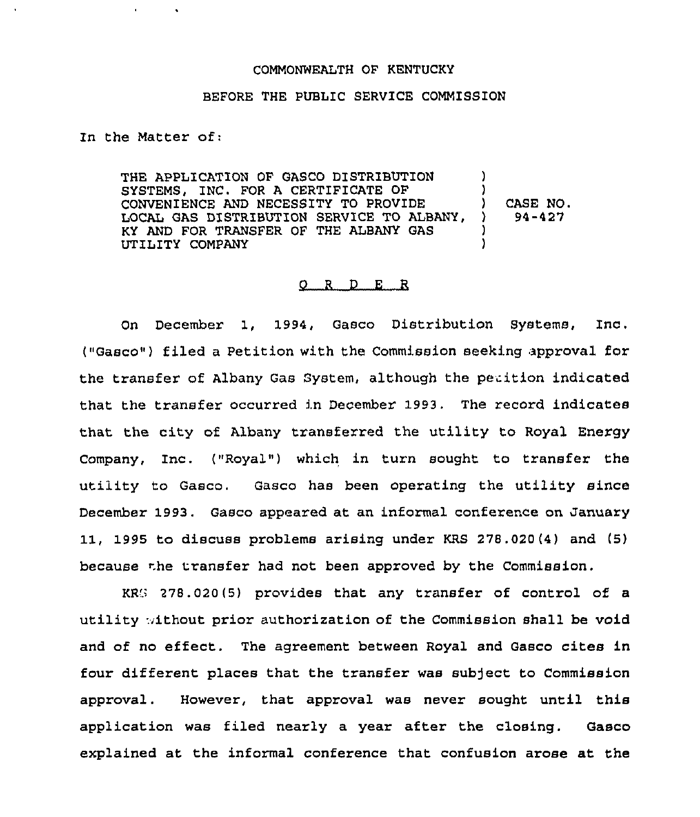## COMMONWEALTH OF KENTUCKY

## BEFORE THE PUBLIC SERVICE COMMISSION

In the Matter of:

THE APPLICATION OF GASCO DISTRIBUTION SYSTEMS, INC. FOR A CERTIFICATE OF CONVENIENCE AND NECESSITY TO PROVIDE LOCAL GAS DISTRIBUTION SERVICE TO ALBANY, KY AND FOR TRANSFER OF THE ALBANY GAS UTILITY COMPANY ) )<br>) ) CASE NO. ) 94-427 ) )

## 0 <sup>R</sup> <sup>D</sup> E R

On December 1, 1994, Gasco Distribution SYstems, Inc, ("Gasco") filed a Petition with the Commission seeking approval for the transfer of Albany Gas System, although the petition indicated that the transfer occurred in December 1993. The record indicates that the city of Albany transferred the utility to Royal EnergY Company, Inc. ("Royal") which in turn sought to transfer the utility to Gasco. Gasco has been operating the utility since December 1993. Gasco appeared at an informal conference on January 11, 1995 to discuss problems arising under KRS 278.020(4) and (5) because the transfer had not been approved by the Commission.

KRS 278.020(5) provides that any transfer of control of a utility without prior authorization of the Commission shall be void and of no effect. The agreement between Royal and Gasco cites in four different places that the transfer was subject to Commission approval. However, that approval was never sought until this application was filed nearly a year after the closing. Gasco explained at the informal conference that confusion arose at the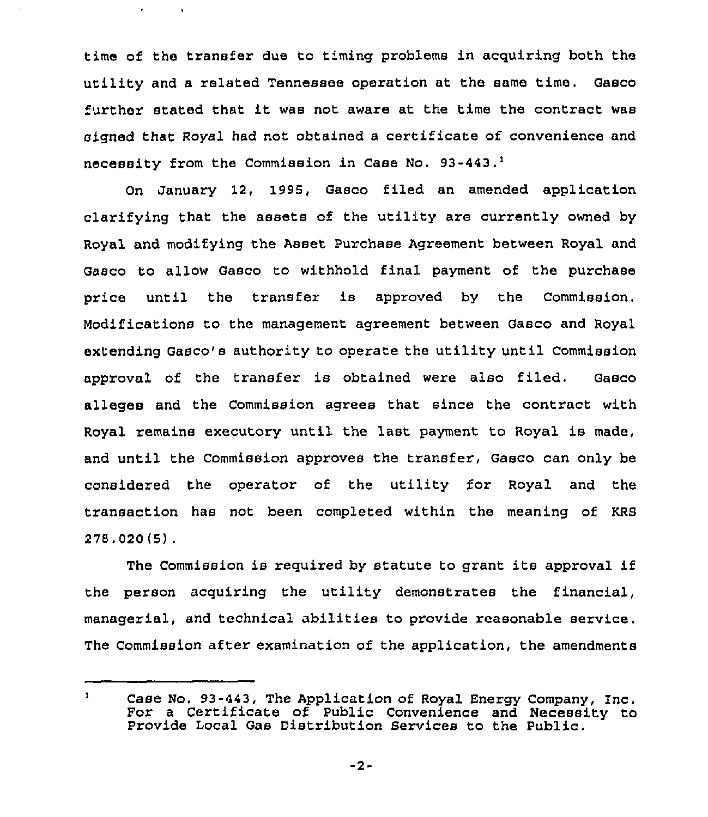time of the transfer due to timing problems in acquiring both the utility and a related Tennessee operation at the same time. Gasco further stated that it was not aware at the time the contract was signed that Royal had not obtained a certificate of convenience and necessity from the Commission in Case No. 93-443.<sup>1</sup>

January 12, 1995, Gasco filed an amended application clarifying that the assets of the utility are currently owned by Royal and modifying the Asset Purchase Agreement between Royal and Gasco to allow Gasco to withhold final payment of the purchase price until the transfer is approved by the Commission. Modifications to the management agreement between Gasco and Royal extending Gasco's authority to operate the utility until Commission approval of the transfer is obtained were also filed. Gasco alleges and the Commission agrees that since the contract with Royal remains executory until the last payment to Royal is made, and until the Commission approves the transfer, Gasco can only be considered the operator of the utility for Royal and the transaction has not been completed within the meaning of KRS 278, 020 (5) .

The Commission is required by statute to grant its approval if the person acquiring the utility demonstrates the financial, managerial, and technical abilities to provide reasonable service. The Commission after examination of the application, the amendments

 $\mathbf{1}$ Case No, 93-443, The Application of Royal Energy Company, Inc. For <sup>a</sup> Certificate of Public Convenience and Necessity to Provide Local Gas Distribution Services to the Public.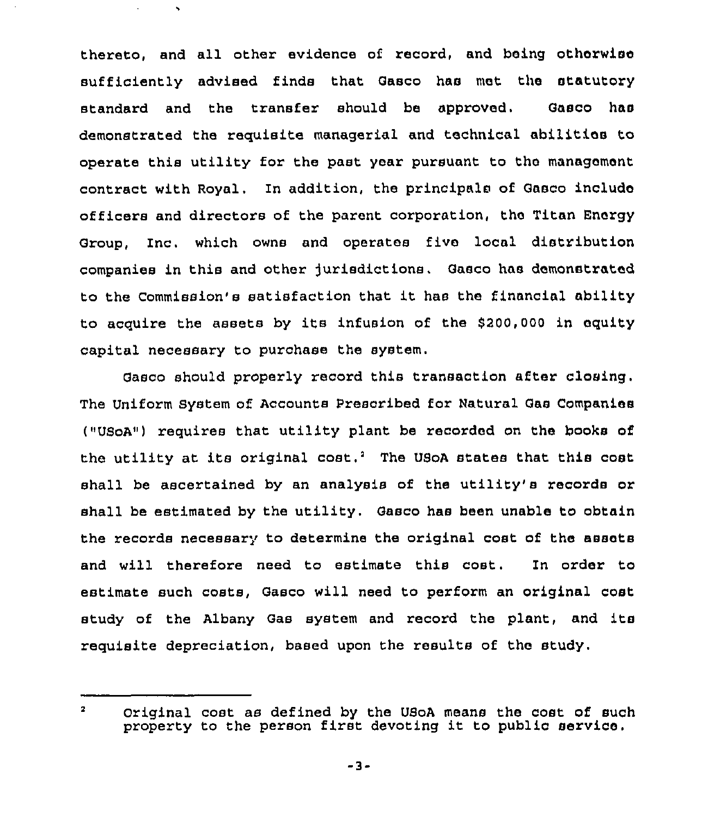thereto, and all other evidence of record, and being otherwise sufficiently advised finds that Gasco has met the statutory standard and the transfer should be approved. Gasco has demonstrated the requisite managerial and technical abilities to operate this utility for the past year pursuant to the management contract with Royal. In addition, the principals of Gasco include officers and directors of the parent corpoxation, the Titan Energy Group, Inc. which owns and operates five local distribution companiee in this and other Jurisdictions. Gaeco has demonstrated to the Commission's satisfaction that it has the financial ability to acquire the assets by its infusion of the 8200,000 in equity capital necessary to purchase the system.

Gasco should properly record this transaction after closing. The Uniform System of Accounts Prescribed for Natural Gas Companies ("UsoA") requires that utility plant be recorded on the books of the utility at its original cost.<sup>2</sup> The USoA states that this cost shall be ascertained by an analysis of the utility's records or shall be estimated by the utility, Gasco has been unable to obtain the records necessary to determine the original cost of the assets and will therefore need to estimate this cost. In order to estimate such costs, Gasco will need to perform an original cost study of the Albany Gas system and record the plant, and its requisite depreciation, based upon the results of the study.

 $\overline{\mathbf{2}}$ Original cost as defined by the USoA means the coat of such property to the person first devoting it to public service.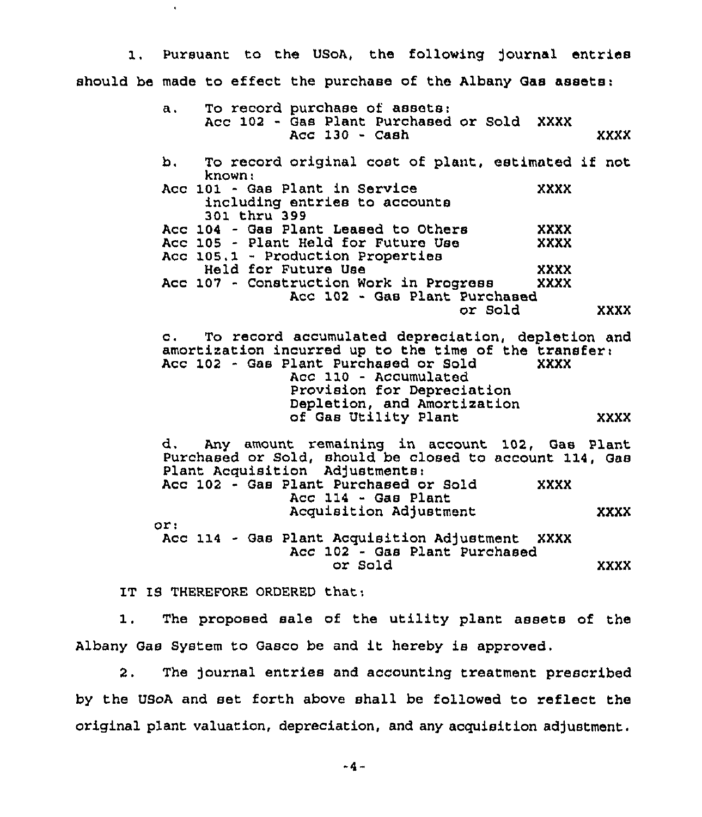1. Pursuant to the USoA, the following journal entries should be made to effect the purchase of the Albany Gas assets:

| a. To record purchase of assets:<br>Acc 102 - Gas Plant Purchased or Sold XXXX<br>$Acc$ 130 - $Cash$                                                                                                                                                        | XXXX |
|-------------------------------------------------------------------------------------------------------------------------------------------------------------------------------------------------------------------------------------------------------------|------|
| To record original cost of plant, estimated if not<br>b.<br>known:                                                                                                                                                                                          |      |
| Acc 101 - Gas Plant in Service<br>XXXX<br>including entries to accounts<br>301 thru 399                                                                                                                                                                     |      |
| Acc 104 - Gas Plant Leased to Others<br>XXXX                                                                                                                                                                                                                |      |
| Acc 105 - Plant Held for Future Use<br><b>XXXX</b>                                                                                                                                                                                                          |      |
| Acc 105.1 - Production Properties                                                                                                                                                                                                                           |      |
| Held for Future Use<br>XXXX                                                                                                                                                                                                                                 |      |
| Acc 107 - Construction Work in Progress<br><b>XXXX</b>                                                                                                                                                                                                      |      |
| Acc 102 - Gas Plant Purchased                                                                                                                                                                                                                               |      |
| or Sold                                                                                                                                                                                                                                                     | XXXX |
|                                                                                                                                                                                                                                                             |      |
| c. To record accumulated depreciation, depletion and<br>amortization incurred up to the time of the transfer:<br>Acc 102 - Gas Plant Purchased or Sold<br><b>XXXX</b><br>Acc 110 - Accumulated<br>Provision for Depreciation<br>Depletion, and Amortization |      |
| of Gas Utility Plant                                                                                                                                                                                                                                        | xxxx |
| d. Any amount remaining in account 102, Gas Plant<br>Purchased or Sold, should be closed to account 114, Gas<br>Plant Acquisition Adjustments:                                                                                                              |      |
| Acc 102 - Gas Plant Purchased or Sold<br><b>XXXX</b><br>Acc 114 - Gas Plant                                                                                                                                                                                 |      |
| Acquisition Adjustment                                                                                                                                                                                                                                      | XXXX |
| or:                                                                                                                                                                                                                                                         |      |
| Acc 114 - Gas Plant Acquisition Adjustment XXXX<br>Acc 102 - Gas Plant Purchased                                                                                                                                                                            |      |
| or Sold                                                                                                                                                                                                                                                     | XXXX |

IT IS THEREFORE ORDERED that:

 $\hat{\mathbf{r}}$ 

The proposed sale of the utility plant assets of the  $1.$ Albany Gas System to Gasco be and it hereby is approved.

2. The Journal entries and accounting treatment prescribed by the USoA and set forth above shall be followed to reflect the original plant valuation, depreciation, and any acquisition adjustment.

 $-4-$